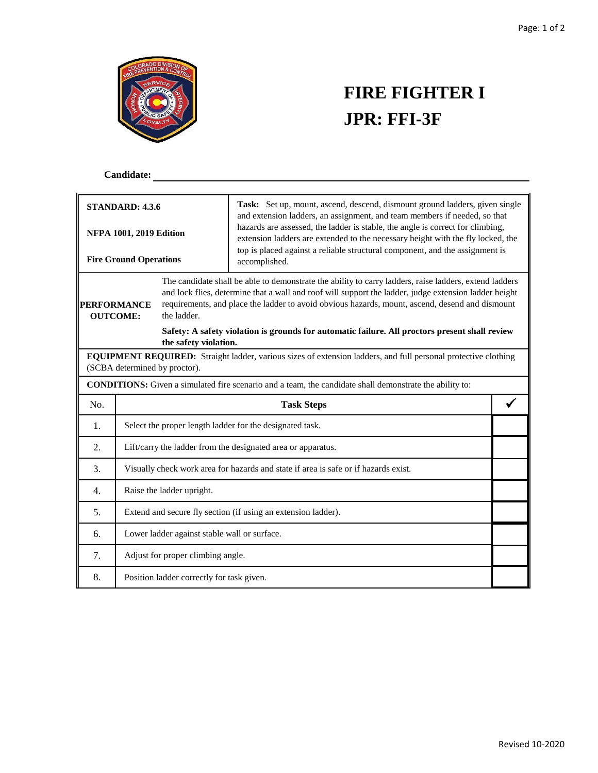

# **FIRE FIGHTER I JPR: FFI-3F**

### **Candidate:**

| <b>STANDARD: 4.3.6</b>                                          |                                                                                                                                                        |  | Task: Set up, mount, ascend, descend, dismount ground ladders, given single<br>and extension ladders, an assignment, and team members if needed, so that<br>hazards are assessed, the ladder is stable, the angle is correct for climbing,                                                                                                                                                                           |  |  |
|-----------------------------------------------------------------|--------------------------------------------------------------------------------------------------------------------------------------------------------|--|----------------------------------------------------------------------------------------------------------------------------------------------------------------------------------------------------------------------------------------------------------------------------------------------------------------------------------------------------------------------------------------------------------------------|--|--|
| <b>NFPA 1001, 2019 Edition</b><br><b>Fire Ground Operations</b> |                                                                                                                                                        |  | extension ladders are extended to the necessary height with the fly locked, the<br>top is placed against a reliable structural component, and the assignment is<br>accomplished.                                                                                                                                                                                                                                     |  |  |
| <b>PERFORMANCE</b><br>the ladder.<br><b>OUTCOME:</b>            |                                                                                                                                                        |  | The candidate shall be able to demonstrate the ability to carry ladders, raise ladders, extend ladders<br>and lock flies, determine that a wall and roof will support the ladder, judge extension ladder height<br>requirements, and place the ladder to avoid obvious hazards, mount, ascend, desend and dismount<br>Safety: A safety violation is grounds for automatic failure. All proctors present shall review |  |  |
| the safety violation.                                           |                                                                                                                                                        |  |                                                                                                                                                                                                                                                                                                                                                                                                                      |  |  |
|                                                                 | <b>EQUIPMENT REQUIRED:</b> Straight ladder, various sizes of extension ladders, and full personal protective clothing<br>(SCBA determined by proctor). |  |                                                                                                                                                                                                                                                                                                                                                                                                                      |  |  |
|                                                                 |                                                                                                                                                        |  | <b>CONDITIONS:</b> Given a simulated fire scenario and a team, the candidate shall demonstrate the ability to:                                                                                                                                                                                                                                                                                                       |  |  |
| No.                                                             |                                                                                                                                                        |  | <b>Task Steps</b>                                                                                                                                                                                                                                                                                                                                                                                                    |  |  |
| 1.                                                              | Select the proper length ladder for the designated task.                                                                                               |  |                                                                                                                                                                                                                                                                                                                                                                                                                      |  |  |
| 2.                                                              | Lift/carry the ladder from the designated area or apparatus.                                                                                           |  |                                                                                                                                                                                                                                                                                                                                                                                                                      |  |  |
| 3.                                                              | Visually check work area for hazards and state if area is safe or if hazards exist.                                                                    |  |                                                                                                                                                                                                                                                                                                                                                                                                                      |  |  |
| 4.                                                              | Raise the ladder upright.                                                                                                                              |  |                                                                                                                                                                                                                                                                                                                                                                                                                      |  |  |
| 5.                                                              | Extend and secure fly section (if using an extension ladder).                                                                                          |  |                                                                                                                                                                                                                                                                                                                                                                                                                      |  |  |
| 6.                                                              | Lower ladder against stable wall or surface.                                                                                                           |  |                                                                                                                                                                                                                                                                                                                                                                                                                      |  |  |
| 7.                                                              | Adjust for proper climbing angle.                                                                                                                      |  |                                                                                                                                                                                                                                                                                                                                                                                                                      |  |  |
| 8.                                                              | Position ladder correctly for task given.                                                                                                              |  |                                                                                                                                                                                                                                                                                                                                                                                                                      |  |  |

<u> 1980 - Johann Barn, marwolaethau a bhann an t-Amhain Aonaichte ann an t-Amhain Aonaichte ann an t-Amhain Aon</u>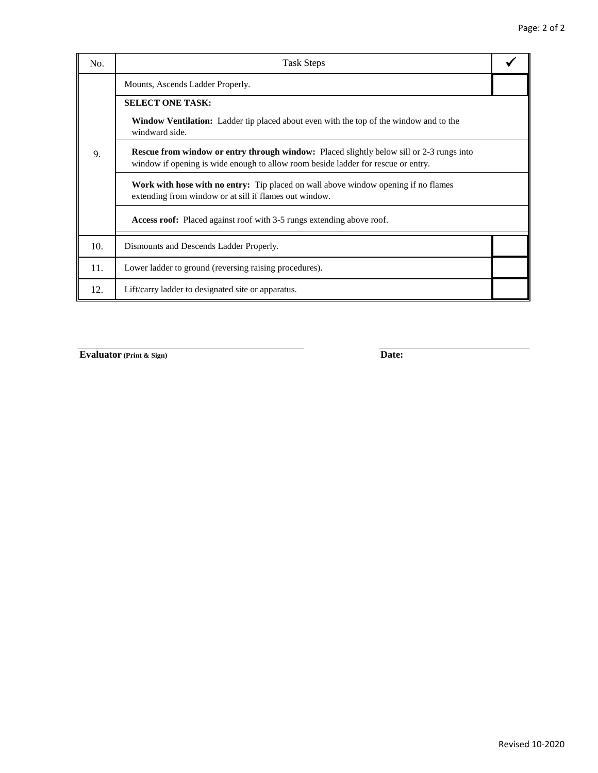| No. | <b>Task Steps</b>                                                                                                                                                                    |  |  |  |  |
|-----|--------------------------------------------------------------------------------------------------------------------------------------------------------------------------------------|--|--|--|--|
|     | Mounts, Ascends Ladder Properly.                                                                                                                                                     |  |  |  |  |
|     | <b>SELECT ONE TASK:</b>                                                                                                                                                              |  |  |  |  |
| 9.  | <b>Window Ventilation:</b> Ladder tip placed about even with the top of the window and to the<br>windward side.                                                                      |  |  |  |  |
|     | <b>Rescue from window or entry through window:</b> Placed slightly below sill or 2-3 rungs into<br>window if opening is wide enough to allow room beside ladder for rescue or entry. |  |  |  |  |
|     | <b>Work with hose with no entry:</b> Tip placed on wall above window opening if no flames<br>extending from window or at sill if flames out window.                                  |  |  |  |  |
|     | <b>Access roof:</b> Placed against roof with 3-5 rungs extending above roof.                                                                                                         |  |  |  |  |
| 10. | Dismounts and Descends Ladder Properly.                                                                                                                                              |  |  |  |  |
| 11. | Lower ladder to ground (reversing raising procedures).                                                                                                                               |  |  |  |  |
| 12. | Lift/carry ladder to designated site or apparatus.                                                                                                                                   |  |  |  |  |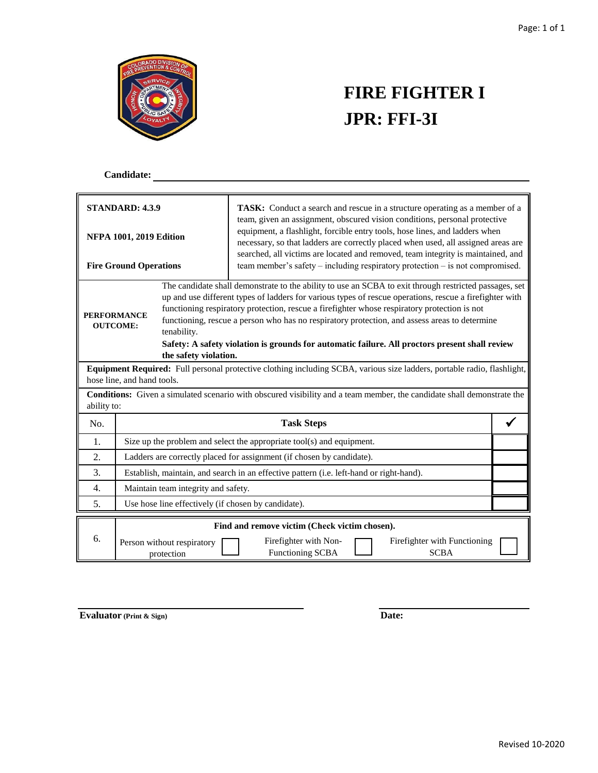

# **FIRE FIGHTER I JPR: FFI-3I**

### **Candidate:**

| <b>STANDARD: 4.3.9</b>         |                                                                                                                                       | <b>TASK:</b> Conduct a search and rescue in a structure operating as a member of a<br>team, given an assignment, obscured vision conditions, personal protective                                                  |  |  |  |
|--------------------------------|---------------------------------------------------------------------------------------------------------------------------------------|-------------------------------------------------------------------------------------------------------------------------------------------------------------------------------------------------------------------|--|--|--|
| <b>NFPA 1001, 2019 Edition</b> |                                                                                                                                       | equipment, a flashlight, forcible entry tools, hose lines, and ladders when<br>necessary, so that ladders are correctly placed when used, all assigned areas are                                                  |  |  |  |
| <b>Fire Ground Operations</b>  |                                                                                                                                       | searched, all victims are located and removed, team integrity is maintained, and<br>team member's safety – including respiratory protection – is not compromised.                                                 |  |  |  |
|                                |                                                                                                                                       | The candidate shall demonstrate to the ability to use an SCBA to exit through restricted passages, set<br>up and use different types of ladders for various types of rescue operations, rescue a firefighter with |  |  |  |
| <b>PERFORMANCE</b>             |                                                                                                                                       | functioning respiratory protection, rescue a firefighter whose respiratory protection is not                                                                                                                      |  |  |  |
| <b>OUTCOME:</b>                | tenability.                                                                                                                           | functioning, rescue a person who has no respiratory protection, and assess areas to determine                                                                                                                     |  |  |  |
|                                |                                                                                                                                       | Safety: A safety violation is grounds for automatic failure. All proctors present shall review                                                                                                                    |  |  |  |
|                                | the safety violation.                                                                                                                 |                                                                                                                                                                                                                   |  |  |  |
|                                | hose line, and hand tools.                                                                                                            | Equipment Required: Full personal protective clothing including SCBA, various size ladders, portable radio, flashlight,                                                                                           |  |  |  |
|                                | Conditions: Given a simulated scenario with obscured visibility and a team member, the candidate shall demonstrate the<br>ability to: |                                                                                                                                                                                                                   |  |  |  |
| No.                            |                                                                                                                                       | <b>Task Steps</b>                                                                                                                                                                                                 |  |  |  |
| 1.                             | Size up the problem and select the appropriate tool(s) and equipment.                                                                 |                                                                                                                                                                                                                   |  |  |  |
| 2.                             | Ladders are correctly placed for assignment (if chosen by candidate).                                                                 |                                                                                                                                                                                                                   |  |  |  |
| 3.                             | Establish, maintain, and search in an effective pattern (i.e. left-hand or right-hand).                                               |                                                                                                                                                                                                                   |  |  |  |
| $\overline{4}$ .               | Maintain team integrity and safety.                                                                                                   |                                                                                                                                                                                                                   |  |  |  |
| 5.                             | Use hose line effectively (if chosen by candidate).                                                                                   |                                                                                                                                                                                                                   |  |  |  |
| 6.                             | Find and remove victim (Check victim chosen).                                                                                         |                                                                                                                                                                                                                   |  |  |  |
|                                | Person without respiratory<br>protection                                                                                              | Firefighter with Non-<br>Firefighter with Functioning<br><b>SCBA</b><br><b>Functioning SCBA</b>                                                                                                                   |  |  |  |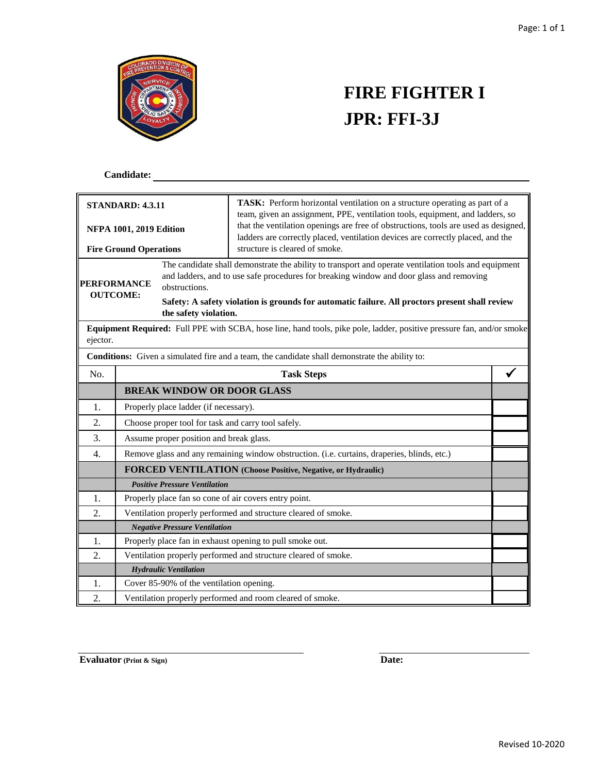

# **FIRE FIGHTER I JPR: FFI-3J**

### **Candidate:**

| <b>STANDARD: 4.3.11</b>                                         |                                                                                             |                                          | TASK: Perform horizontal ventilation on a structure operating as part of a                                                                                                                                                                                                                        |  |
|-----------------------------------------------------------------|---------------------------------------------------------------------------------------------|------------------------------------------|---------------------------------------------------------------------------------------------------------------------------------------------------------------------------------------------------------------------------------------------------------------------------------------------------|--|
| <b>NFPA 1001, 2019 Edition</b><br><b>Fire Ground Operations</b> |                                                                                             |                                          | team, given an assignment, PPE, ventilation tools, equipment, and ladders, so<br>that the ventilation openings are free of obstructions, tools are used as designed,<br>ladders are correctly placed, ventilation devices are correctly placed, and the<br>structure is cleared of smoke.         |  |
| <b>PERFORMANCE</b><br>obstructions.<br><b>OUTCOME:</b>          |                                                                                             | the safety violation.                    | The candidate shall demonstrate the ability to transport and operate ventilation tools and equipment<br>and ladders, and to use safe procedures for breaking window and door glass and removing<br>Safety: A safety violation is grounds for automatic failure. All proctors present shall review |  |
| ejector.                                                        |                                                                                             |                                          | Equipment Required: Full PPE with SCBA, hose line, hand tools, pike pole, ladder, positive pressure fan, and/or smoke                                                                                                                                                                             |  |
|                                                                 |                                                                                             |                                          | <b>Conditions:</b> Given a simulated fire and a team, the candidate shall demonstrate the ability to:                                                                                                                                                                                             |  |
| No.                                                             | <b>Task Steps</b>                                                                           |                                          |                                                                                                                                                                                                                                                                                                   |  |
|                                                                 |                                                                                             | <b>BREAK WINDOW OR DOOR GLASS</b>        |                                                                                                                                                                                                                                                                                                   |  |
| 1.                                                              |                                                                                             | Properly place ladder (if necessary).    |                                                                                                                                                                                                                                                                                                   |  |
| 2.                                                              | Choose proper tool for task and carry tool safely.                                          |                                          |                                                                                                                                                                                                                                                                                                   |  |
| 3.                                                              | Assume proper position and break glass.                                                     |                                          |                                                                                                                                                                                                                                                                                                   |  |
| 4.                                                              | Remove glass and any remaining window obstruction. (i.e. curtains, draperies, blinds, etc.) |                                          |                                                                                                                                                                                                                                                                                                   |  |
|                                                                 |                                                                                             |                                          | <b>FORCED VENTILATION</b> (Choose Positive, Negative, or Hydraulic)                                                                                                                                                                                                                               |  |
|                                                                 |                                                                                             | <b>Positive Pressure Ventilation</b>     |                                                                                                                                                                                                                                                                                                   |  |
| 1.                                                              |                                                                                             |                                          | Properly place fan so cone of air covers entry point.                                                                                                                                                                                                                                             |  |
| 2.                                                              |                                                                                             |                                          | Ventilation properly performed and structure cleared of smoke.                                                                                                                                                                                                                                    |  |
|                                                                 |                                                                                             | <b>Negative Pressure Ventilation</b>     |                                                                                                                                                                                                                                                                                                   |  |
| 1.                                                              |                                                                                             |                                          | Properly place fan in exhaust opening to pull smoke out.                                                                                                                                                                                                                                          |  |
| 2.                                                              |                                                                                             |                                          | Ventilation properly performed and structure cleared of smoke.                                                                                                                                                                                                                                    |  |
|                                                                 |                                                                                             | <b>Hydraulic Ventilation</b>             |                                                                                                                                                                                                                                                                                                   |  |
| 1.                                                              |                                                                                             | Cover 85-90% of the ventilation opening. |                                                                                                                                                                                                                                                                                                   |  |
| 2.                                                              |                                                                                             |                                          | Ventilation properly performed and room cleared of smoke.                                                                                                                                                                                                                                         |  |